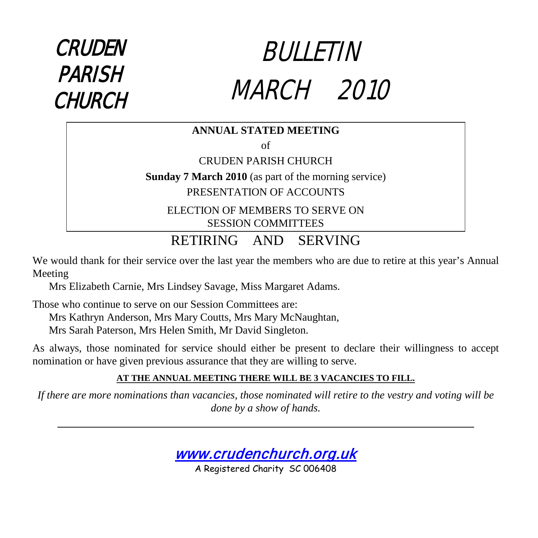## CRUDEN PARISH **CHURCH**

# BULLETIN MARCH 2010

## **ANNUAL STATED MEETING**

of

CRUDEN PARISH CHURCH

**Sunday 7 March 2010** (as part of the morning service)

PRESENTATION OF ACCOUNTS

ELECTION OF MEMBERS TO SERVE ON SESSION COMMITTEES

#### RETIRING AND SERVING

We would thank for their service over the last year the members who are due to retire at this year's Annual Meeting

Mrs Elizabeth Carnie, Mrs Lindsey Savage, Miss Margaret Adams.

Those who continue to serve on our Session Committees are:

Mrs Kathryn Anderson, Mrs Mary Coutts, Mrs Mary McNaughtan,

Mrs Sarah Paterson, Mrs Helen Smith, Mr David Singleton.

As always, those nominated for service should either be present to declare their willingness to accept nomination or have given previous assurance that they are willing to serve.

#### **AT THE ANNUAL MEETING THERE WILL BE 3 VACANCIES TO FILL.**

*If there are more nominations than vacancies, those nominated will retire to the vestry and voting will be done by a show of hands.*



A Registered Charity SC 006408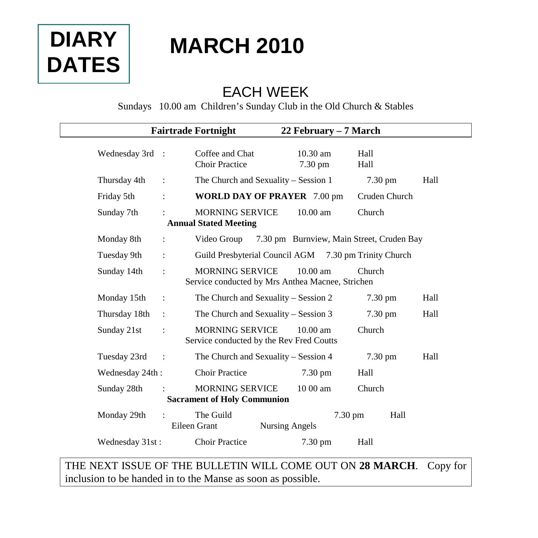## **DIARY DATES**

## **MARCH 2010**

#### EACH WEEK

Sundays 10.00 am Children's Sunday Club in the Old Church & Stables

|                 |                | <b>Fairtrade Fortnight</b>                                         | 22 February – 7 March                                          |                   |      |
|-----------------|----------------|--------------------------------------------------------------------|----------------------------------------------------------------|-------------------|------|
| Wednesday 3rd   |                | Coffee and Chat<br><b>Choir Practice</b>                           | 10.30 am<br>7.30 pm                                            | Hall<br>Hall      |      |
| Thursday 4th    |                | The Church and Sexuality – Session 1                               |                                                                | $7.30 \text{ pm}$ | Hall |
| Friday 5th      |                | <b>WORLD DAY OF PRAYER 7.00 pm</b>                                 |                                                                | Cruden Church     |      |
| Sunday 7th      |                | <b>MORNING SERVICE</b><br><b>Annual Stated Meeting</b>             | $10.00$ am                                                     | Church            |      |
| Monday 8th      | $\vdots$       | Video Group                                                        | 7.30 pm Burnview, Main Street, Cruden Bay                      |                   |      |
| Tuesday 9th     | $\ddot{\cdot}$ |                                                                    | Guild Presbyterial Council AGM 7.30 pm Trinity Church          |                   |      |
| Sunday 14th     | $\ddot{\cdot}$ | <b>MORNING SERVICE</b>                                             | $10.00$ am<br>Service conducted by Mrs Anthea Macnee, Strichen | Church            |      |
| Monday 15th     | $\ddot{\cdot}$ | The Church and Sexuality – Session 2                               |                                                                | 7.30 pm           | Hall |
| Thursday 18th   | $\cdot$ :      | The Church and Sexuality – Session 3                               |                                                                | 7.30 pm           | Hall |
| Sunday 21st     | $\ddot{\cdot}$ | <b>MORNING SERVICE</b><br>Service conducted by the Rev Fred Coutts | $10.00$ am                                                     | Church            |      |
| Tuesday 23rd    |                | The Church and Sexuality – Session 4                               |                                                                | $7.30 \text{ pm}$ | Hall |
| Wednesday 24th: |                | <b>Choir Practice</b>                                              | 7.30 pm                                                        | Hall              |      |
| Sunday 28th     |                | <b>MORNING SERVICE</b><br><b>Sacrament of Holy Communion</b>       | $1000$ am                                                      | Church            |      |
| Monday 29th     |                | The Guild<br>Eileen Grant                                          | <b>Nursing Angels</b>                                          | 7.30 pm<br>Hall   |      |
| Wednesday 31st: |                | <b>Choir Practice</b>                                              | 7.30 pm                                                        | Hall              |      |

THE NEXT ISSUE OF THE BULLETIN WILL COME OUT ON **28 MARCH**. Copy for inclusion to be handed in to the Manse as soon as possible.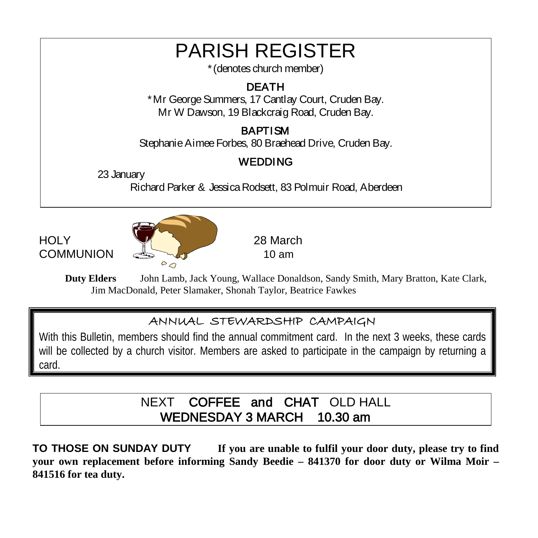

With this Bulletin, members should find the annual commitment card. In the next 3 weeks, these cards will be collected by a church visitor. Members are asked to participate in the campaign by returning a card.

ANNUAL STEWARDSHIP CAMPAIGN

Jim MacDonald, Peter Slamaker, Shonah Taylor, Beatrice Fawkes

**Duty Elders** John Lamb, Jack Young, Wallace Donaldson, Sandy Smith, Mary Bratton, Kate Clark,

#### NEXT COFFEE and CHAT OLD HALL WEDNESDAY 3 MARCH 10.30 am

**TO THOSE ON SUNDAY DUTY If you are unable to fulfil your door duty, please try to find your own replacement before informing Sandy Beedie – 841370 for door duty or Wilma Moir – 841516 for tea duty.**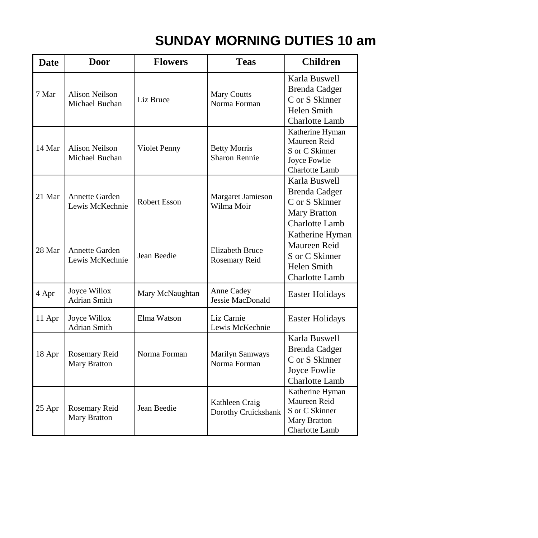| <b>SUNDAY MORNING DUTIES 10 am</b> |  |
|------------------------------------|--|
|------------------------------------|--|

| <b>Date</b> | <b>Door</b>                              | <b>Flowers</b>      | <b>Teas</b>                                 | <b>Children</b>                                                                                  |
|-------------|------------------------------------------|---------------------|---------------------------------------------|--------------------------------------------------------------------------------------------------|
| 7 Mar       | <b>Alison Neilson</b><br>Michael Buchan  | Liz Bruce           | <b>Mary Coutts</b><br>Norma Forman          | Karla Buswell<br><b>Brenda Cadger</b><br>C or S Skinner<br><b>Helen Smith</b><br>Charlotte Lamb  |
| 14 Mar      | <b>Alison Neilson</b><br>Michael Buchan  | Violet Penny        | <b>Betty Morris</b><br><b>Sharon Rennie</b> | Katherine Hyman<br>Maureen Reid<br>S or C Skinner<br>Joyce Fowlie<br>Charlotte Lamb              |
| 21 Mar      | <b>Annette Garden</b><br>Lewis McKechnie | <b>Robert Esson</b> | Margaret Jamieson<br>Wilma Moir             | Karla Buswell<br><b>Brenda Cadger</b><br>C or S Skinner<br><b>Mary Bratton</b><br>Charlotte Lamb |
| 28 Mar      | <b>Annette Garden</b><br>Lewis McKechnie | Jean Beedie         | <b>Elizabeth Bruce</b><br>Rosemary Reid     | Katherine Hyman<br>Maureen Reid<br>S or C Skinner<br>Helen Smith<br><b>Charlotte Lamb</b>        |
| 4 Apr       | Joyce Willox<br><b>Adrian Smith</b>      | Mary McNaughtan     | Anne Cadey<br>Jessie MacDonald              | <b>Easter Holidays</b>                                                                           |
| 11 Apr      | Joyce Willox<br><b>Adrian Smith</b>      | Elma Watson         | Liz Carnie<br>Lewis McKechnie               | <b>Easter Holidays</b>                                                                           |
| 18 Apr      | Rosemary Reid<br>Mary Bratton            | Norma Forman        | Marilyn Samways<br>Norma Forman             | Karla Buswell<br><b>Brenda Cadger</b><br>C or S Skinner<br>Joyce Fowlie<br>Charlotte Lamb        |
| 25 Apr      | Rosemary Reid<br>Mary Bratton            | Jean Beedie         | Kathleen Craig<br>Dorothy Cruickshank       | Katherine Hyman<br>Maureen Reid<br>S or C Skinner<br>Mary Bratton<br>Charlotte Lamb              |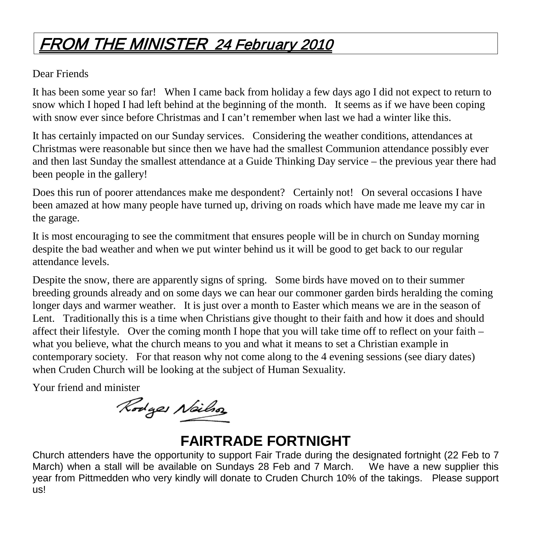## FROM THE MINISTER 24 February 2010

Dear Friends

It has been some year so far! When I came back from holiday a few days ago I did not expect to return to snow which I hoped I had left behind at the beginning of the month. It seems as if we have been coping with snow ever since before Christmas and I can't remember when last we had a winter like this.

It has certainly impacted on our Sunday services. Considering the weather conditions, attendances at Christmas were reasonable but since then we have had the smallest Communion attendance possibly ever and then last Sunday the smallest attendance at a Guide Thinking Day service – the previous year there had been people in the gallery!

Does this run of poorer attendances make me despondent? Certainly not! On several occasions I have been amazed at how many people have turned up, driving on roads which have made me leave my car in the garage.

It is most encouraging to see the commitment that ensures people will be in church on Sunday morning despite the bad weather and when we put winter behind us it will be good to get back to our regular attendance levels.

Despite the snow, there are apparently signs of spring. Some birds have moved on to their summer breeding grounds already and on some days we can hear our commoner garden birds heralding the coming longer days and warmer weather. It is just over a month to Easter which means we are in the season of Lent. Traditionally this is a time when Christians give thought to their faith and how it does and should affect their lifestyle. Over the coming month I hope that you will take time off to reflect on your faith – what you believe, what the church means to you and what it means to set a Christian example in contemporary society. For that reason why not come along to the 4 evening sessions (see diary dates) when Cruden Church will be looking at the subject of Human Sexuality.

Your friend and minister

Rodges Nails

#### **FAIRTRADE FORTNIGHT**

Church attenders have the opportunity to support Fair Trade during the designated fortnight (22 Feb to 7 March) when a stall will be available on Sundays 28 Feb and 7 March. We have a new supplier this year from Pittmedden who very kindly will donate to Cruden Church 10% of the takings. Please support us!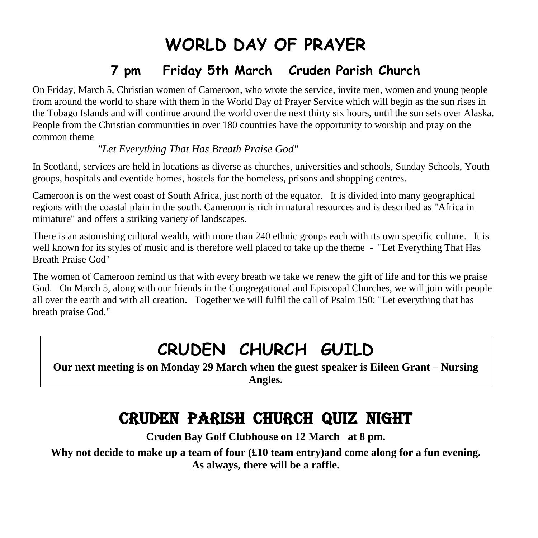### **WORLD DAY OF PRAYER**

#### **7 pm Friday 5th March Cruden Parish Church**

On Friday, March 5, Christian women of Cameroon, who wrote the service, invite men, women and young people from around the world to share with them in the World Day of Prayer Service which will begin as the sun rises in the Tobago Islands and will continue around the world over the next thirty six hours, until the sun sets over Alaska. People from the Christian communities in over 180 countries have the opportunity to worship and pray on the common theme

#### *"Let Everything That Has Breath Praise God"*

In Scotland, services are held in locations as diverse as churches, universities and schools, Sunday Schools, Youth groups, hospitals and eventide homes, hostels for the homeless, prisons and shopping centres.

Cameroon is on the west coast of South Africa, just north of the equator. It is divided into many geographical regions with the coastal plain in the south. Cameroon is rich in natural resources and is described as "Africa in miniature" and offers a striking variety of landscapes.

There is an astonishing cultural wealth, with more than 240 ethnic groups each with its own specific culture. It is well known for its styles of music and is therefore well placed to take up the theme - "Let Everything That Has Breath Praise God"

The women of Cameroon remind us that with every breath we take we renew the gift of life and for this we praise God. On March 5, along with our friends in the Congregational and Episcopal Churches, we will join with people all over the earth and with all creation. Together we will fulfil the call of Psalm 150: "Let everything that has breath praise God."

## **CRUDEN CHURCH GUILD**

**Our next meeting is on Monday 29 March when the guest speaker is Eileen Grant – Nursing** 

**Angles.** 

### CRUDEN parish Church Quiz night

**Cruden Bay Golf Clubhouse on 12 March at 8 pm.**

**Why not decide to make up a team of four (£10 team entry)and come along for a fun evening. As always, there will be a raffle.**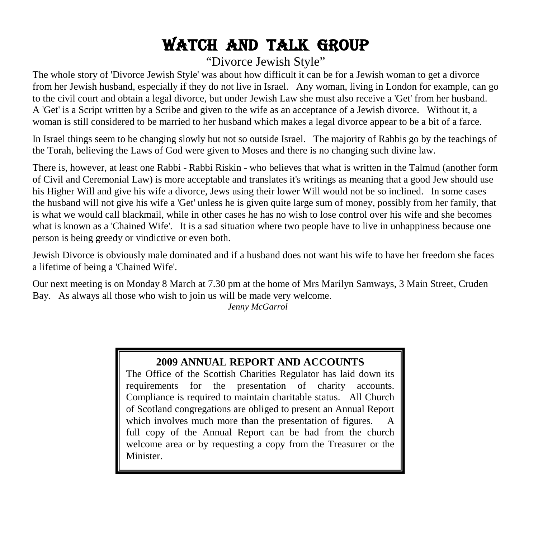## Watch And Talk Group

"Divorce Jewish Style"

The whole story of 'Divorce Jewish Style' was about how difficult it can be for a Jewish woman to get a divorce from her Jewish husband, especially if they do not live in Israel. Any woman, living in London for example, can go to the civil court and obtain a legal divorce, but under Jewish Law she must also receive a 'Get' from her husband. A 'Get' is a Script written by a Scribe and given to the wife as an acceptance of a Jewish divorce. Without it, a woman is still considered to be married to her husband which makes a legal divorce appear to be a bit of a farce.

In Israel things seem to be changing slowly but not so outside Israel. The majority of Rabbis go by the teachings of the Torah, believing the Laws of God were given to Moses and there is no changing such divine law.

There is, however, at least one Rabbi - Rabbi Riskin - who believes that what is written in the Talmud (another form of Civil and Ceremonial Law) is more acceptable and translates it's writings as meaning that a good Jew should use his Higher Will and give his wife a divorce, Jews using their lower Will would not be so inclined. In some cases the husband will not give his wife a 'Get' unless he is given quite large sum of money, possibly from her family, that is what we would call blackmail, while in other cases he has no wish to lose control over his wife and she becomes what is known as a 'Chained Wife'. It is a sad situation where two people have to live in unhappiness because one person is being greedy or vindictive or even both.

Jewish Divorce is obviously male dominated and if a husband does not want his wife to have her freedom she faces a lifetime of being a 'Chained Wife'.

Our next meeting is on Monday 8 March at 7.30 pm at the home of Mrs Marilyn Samways, 3 Main Street, Cruden Bay. As always all those who wish to join us will be made very welcome.

*Jenny McGarrol*

#### **2009 ANNUAL REPORT AND ACCOUNTS**

The Office of the Scottish Charities Regulator has laid down its requirements for the presentation of charity accounts. Compliance is required to maintain charitable status. All Church of Scotland congregations are obliged to present an Annual Report which involves much more than the presentation of figures. A full copy of the Annual Report can be had from the church welcome area or by requesting a copy from the Treasurer or the Minister.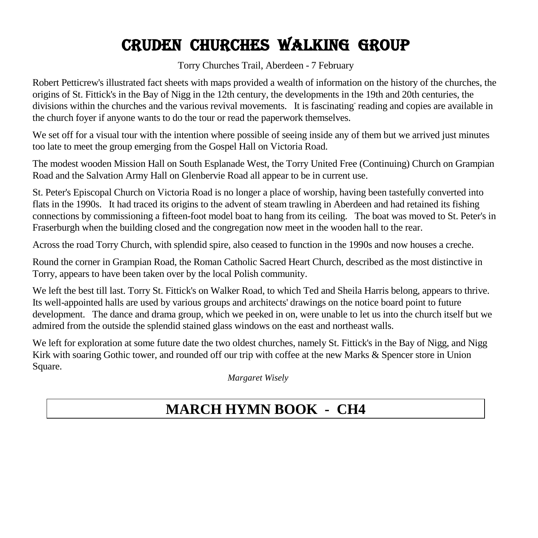### Cruden CHURCHes WALKing group

Torry Churches Trail, Aberdeen - 7 February

Robert Petticrew's illustrated fact sheets with maps provided a wealth of information on the history of the churches, the origins of St. Fittick's in the Bay of Nigg in the 12th century, the developments in the 19th and 20th centuries, the divisions within the churches and the various revival movements. It is fascinating reading and copies are available in the church foyer if anyone wants to do the tour or read the paperwork themselves.

We set off for a visual tour with the intention where possible of seeing inside any of them but we arrived just minutes too late to meet the group emerging from the Gospel Hall on Victoria Road.

The modest wooden Mission Hall on South Esplanade West, the Torry United Free (Continuing) Church on Grampian Road and the Salvation Army Hall on Glenbervie Road all appear to be in current use.

St. Peter's Episcopal Church on Victoria Road is no longer a place of worship, having been tastefully converted into flats in the 1990s. It had traced its origins to the advent of steam trawling in Aberdeen and had retained its fishing connections by commissioning a fifteen-foot model boat to hang from its ceiling. The boat was moved to St. Peter's in Fraserburgh when the building closed and the congregation now meet in the wooden hall to the rear.

Across the road Torry Church, with splendid spire, also ceased to function in the 1990s and now houses a creche.

Round the corner in Grampian Road, the Roman Catholic Sacred Heart Church, described as the most distinctive in Torry, appears to have been taken over by the local Polish community.

We left the best till last. Torry St. Fittick's on Walker Road, to which Ted and Sheila Harris belong, appears to thrive. Its well-appointed halls are used by various groups and architects' drawings on the notice board point to future development. The dance and drama group, which we peeked in on, were unable to let us into the church itself but we admired from the outside the splendid stained glass windows on the east and northeast walls.

We left for exploration at some future date the two oldest churches, namely St. Fittick's in the Bay of Nigg, and Nigg Kirk with soaring Gothic tower, and rounded off our trip with coffee at the new Marks & Spencer store in Union Square.

*Margaret Wisely*

#### **MARCH HYMN BOOK - CH4**